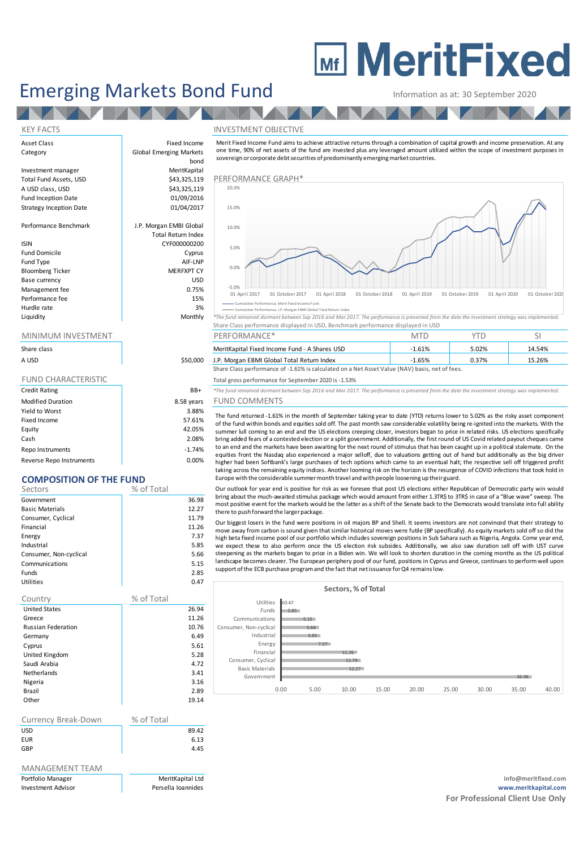# **MEDITE MeritFixed**

## Emerging Markets Bond Fund<br>
Information as at: 30 September 2020

#### KEY FACTS INVESTMENT OBJECTIVE

| Share class                |            |
|----------------------------|------------|
| A USD                      | \$50,000   |
|                            |            |
| <b>FUND CHARACTERISTIC</b> |            |
| <b>Credit Rating</b>       | BB+        |
| <b>Modified Duration</b>   | 8.58 years |
| Yield to Worst             | 3.88%      |
| Fixed Income               | 57.61%     |
| Equity                     | 42.05%     |

Cash 2.08% Repo Instruments and the set of the set of the set of the set of the set of the set of the set of the set of the set of the set of the set of the set of the set of the set of the set of the set of the set of the set of the Reverse Repo Instruments and the control of the control of the control of the control of the control of the control of the control of the control of the control of the control of the control of the control of the control o

### **COMPOSITION OF THE FUND**

| Sectors                | % of Total |       |
|------------------------|------------|-------|
| Government             |            | 36.98 |
| <b>Basic Materials</b> |            | 12.27 |
| Consumer, Cyclical     |            | 11.79 |
| Financial              |            | 11.26 |
| Energy                 |            | 7.37  |
| Industrial             |            | 5.85  |
| Consumer, Non-cyclical |            | 5.66  |
| Communications         |            | 5.15  |
| <b>Funds</b>           |            | 2.85  |
| <b>Utilities</b>       |            | 0.47  |

#### Country % of Total United States 26.94 Greece and  $\vert$  11.26 Russian Federation 10.76<br>Germany 10.76 (6.49) Germany Cyprus 5.61 United Kingdom 5.28 Saudi Arabia 4.72 Netherlands 3.41 3.41 and 3.41 and 3.41 and 3.41 and 3.41 and 3.41 and 3.16 and 3.16 and 3.16 and 3.16 and 3.16 Nigeria 3.16 Brazil 2.89 Other 19.14

| Currency Break-Down | % of Total |
|---------------------|------------|
| <b>USD</b>          | 89.42      |
| <b>EUR</b>          | 6.13       |
| GBP                 | 4.45       |
|                     |            |

#### MANAGEMENT TEAM

| <b>Emerging Markets Bond Fund</b>              |                                                        |                                                                                                                                                                                                                                                                                                                                                                | Information as at: 30 September 2020 |                                  |                 |  |  |
|------------------------------------------------|--------------------------------------------------------|----------------------------------------------------------------------------------------------------------------------------------------------------------------------------------------------------------------------------------------------------------------------------------------------------------------------------------------------------------------|--------------------------------------|----------------------------------|-----------------|--|--|
|                                                |                                                        |                                                                                                                                                                                                                                                                                                                                                                |                                      |                                  |                 |  |  |
| <b>KEY FACTS</b>                               |                                                        | <b>INVESTMENT OBJECTIVE</b>                                                                                                                                                                                                                                                                                                                                    |                                      |                                  |                 |  |  |
| Asset Class<br>Category                        | Fixed Income<br><b>Global Emerging Markets</b><br>bond | Merit Fixed Income Fund aims to achieve attractive returns through a combination of capital growth and income preservation. At any<br>one time, 90% of net assets of the fund are invested plus any leveraged amount utilized within the scope of investment purposes in<br>sovereign or corporate debt securities of predominantly emerging market countries. |                                      |                                  |                 |  |  |
| Investment manager<br>Total Fund Assets, USD   | MeritKapital<br>\$43,325,119                           | PERFORMANCE GRAPH*                                                                                                                                                                                                                                                                                                                                             |                                      |                                  |                 |  |  |
| A USD class, USD<br><b>Fund Inception Date</b> | \$43,325,119<br>01/09/2016                             | 20.0%                                                                                                                                                                                                                                                                                                                                                          |                                      |                                  |                 |  |  |
| Strategy Inception Date                        | 01/04/2017                                             | 15.0%                                                                                                                                                                                                                                                                                                                                                          |                                      |                                  |                 |  |  |
| Performance Benchmark                          | J.P. Morgan EMBI Global<br><b>Total Return Index</b>   | 10.0%                                                                                                                                                                                                                                                                                                                                                          |                                      |                                  |                 |  |  |
| ISIN<br><b>Fund Domicile</b>                   | CYF000000200<br>Cyprus                                 | 5.0%                                                                                                                                                                                                                                                                                                                                                           |                                      |                                  |                 |  |  |
| Fund Type<br><b>Bloomberg Ticker</b>           | AIF-LNP<br><b>MERFXPT CY</b>                           | 0.0%                                                                                                                                                                                                                                                                                                                                                           |                                      |                                  |                 |  |  |
| Base currency                                  | <b>USD</b>                                             | $-5.0%$                                                                                                                                                                                                                                                                                                                                                        |                                      |                                  |                 |  |  |
| Management fee<br>Performance fee              | 0.75%<br>15%                                           | 01 April 2018<br>01 April 2017<br>01 October 2017<br>01 October 2018                                                                                                                                                                                                                                                                                           | 01 April 2019                        | 01 October 2019<br>01 April 2020 | 01 October 2020 |  |  |
| Hurdle rate<br>Liquidity                       | 3%<br>Monthly                                          | Cumulative Performance, Mer it Fixed Income Fund<br>Cumulative Performance, J.P. Morgan EBMI Global Total Return Index<br>*The fund remained dormant between Sep 2016 and Mar 2017. The performance is presented from the date the investment strategy was implemented.                                                                                        |                                      |                                  |                 |  |  |
|                                                |                                                        | Share Class performance displayed in USD, Benchmark performance displayed in USD                                                                                                                                                                                                                                                                               |                                      |                                  |                 |  |  |
| MINIMUM INVESTMENT                             |                                                        | PERFORMANCE*                                                                                                                                                                                                                                                                                                                                                   | <b>MTD</b>                           | <b>YTD</b>                       | <sup>SI</sup>   |  |  |
| Share class                                    |                                                        | MeritKapital Fixed Income Fund - A Shares USD                                                                                                                                                                                                                                                                                                                  | $-1.61%$                             | 5.02%                            | 14.54%          |  |  |
| A USD                                          | \$50,000                                               | J.P. Morgan EBMI Global Total Return Index<br>Chave Class no charge against 1,000 is appropriated an a Net Assat Value (NAVI) has in not of face                                                                                                                                                                                                               | $-1.65%$                             | 0.37%                            | 15.26%          |  |  |

| <u>IVIIIVIIVIUIVI IIV VLJIIVILIVI</u> |          | <b>FLIVE OINVIAIVLE</b>                                                                        | $\cup$    | .     |        |
|---------------------------------------|----------|------------------------------------------------------------------------------------------------|-----------|-------|--------|
| Share class                           |          | MeritKapital Fixed Income Fund - A Shares USD                                                  | $-1.61\%$ | 5.02% | 14.54% |
| A USD                                 | \$50,000 | J.P. Morgan EBMI Global Total Return Index                                                     | $-1.65%$  | 0.37% | 15.26% |
|                                       |          | Share Class performance of -1.61% is calculated on a Net Asset Value (NAV) basis, net of fees. |           |       |        |

Total gross performance for September 2020 is -1.53%

**CR+** *\*The fund remained dormant between Sep 2016 and Mar 2017. The performance is presented from the date the investment strategy was implemented.* 

#### ears FUND COMMENTS

The fund returned -1.61% is calculated on a Net Asset Value (NAV) basis, net of fees.<br>
The fund gross performance for September 2020 is -1.53%<br>
The fund returned domant between Sep 2016 and Mar 2017. The performance is pre of the fund within bonds and equities sold off. The past month saw considerable volatility being re-ignited into the markets. With the summer lull gromanne on "Library" stactuated on a net existence tracky plasts, necro rees.<br>The fund remained domant between Sep 2016 and Mar 2017. The performance is presented from the date the investment strategy was impl bring added fears of a contested election or a split government. Additionally, the first round of US Covid related payout cheques came The fund remained dormant between Sep 2016 and Mar 2017. The performance is presented from the date the investment strategy was implemented.<br>
FUND COMMENTS<br>
The fund returned -1.61% in the month of September taking year to equities front the Nasdaq also experienced a major selloff, due to valuations getting out of hand but additionally as the big driver higher had been Softbank's large purchases of tech options which came to an eventual halt; the respective sell off triggered profit<br>taking across the remaining equity indiges. Another looming risk on the horizon is the res The fund returned -1.61% in the month of September taking year to date (YTD) returns lower to 5.02% as the risky asset component of the fund within bonds and equities sold off. The past month saw considerable volatility be Europe with the considerable summermonth travel and with people loosening up theirguard. summer lull coming to an end and the US elections creeping closer, investors began to price in related risks. US elections specifically bring added fears of a contested election or a split government. Additionally, the fir bring added fears of a contested election or a split government. Additionally, the first round of US Covid related payout cheques came to an end and the markets have been awaiting for the next round of stimulus that has be

most positive event for the markets would be the latter as a shift of the Senate back to the Democrats would translate into full ability there to push forward the larger package.

higher had been Softbank's large purchases of tech options which came to an eventual halt; the respective sell off triggered profit<br>taking across the remaining equity indices. Another looming risk on the horizon is the res high beta fixed income pool of our portfolio which includes sovereign positions in Sub Sahara such as Nigeria, Angola. Come year end, Our outlook for year end is positive for risk as we foresee that post US elections either Republican of Democratic party win would<br>bring about the much-awaited stimulus package which would amount from either 1.3TRS to 3TRS landscape becomes clearer. The European periphery pool of our fund, positions in Cyprus and Greece, continues to perform well upon<br>support of the ECB purchase program and the fact that net issuance for Q4 remains low.

|                        |      |      | Sectors, % of Total |       |       |       |       |       |       |
|------------------------|------|------|---------------------|-------|-------|-------|-------|-------|-------|
| Utilities              | 0.47 |      |                     |       |       |       |       |       |       |
| Funds                  | 2.85 |      |                     |       |       |       |       |       |       |
| Communications         |      | 5.15 |                     |       |       |       |       |       |       |
| Consumer, Non-cyclical |      | 5.66 |                     |       |       |       |       |       |       |
| Industrial             |      | 5.85 |                     |       |       |       |       |       |       |
| Energy                 |      | 7.37 |                     |       |       |       |       |       |       |
| Financial              |      |      | 11.26               |       |       |       |       |       |       |
| Consumer, Cyclical     |      |      | 11.79               |       |       |       |       |       |       |
| <b>Basic Materials</b> |      |      | 12.27               |       |       |       |       |       |       |
| Govemment              |      |      |                     |       |       |       |       | 36.98 |       |
|                        | 0.00 | 5.00 | 10.00               | 15.00 | 20.00 | 25.00 | 30.00 | 35.00 | 40.00 |
|                        |      |      |                     |       |       |       |       |       |       |

Portfolio Manager MeritKapital Ltd **info@meritfixed.com** Investment Advisor Persella Ioannides **www.meritkapital.com For Professional Client Use Only**